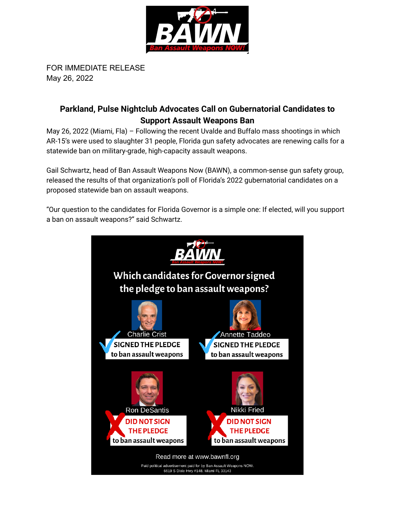

FOR IMMEDIATE RELEASE May 26, 2022

## **Parkland, Pulse Nightclub Advocates Call on Gubernatorial Candidates to Support Assault Weapons Ban**

May 26, 2022 (Miami, Fla) – Following the recent Uvalde and Buffalo mass shootings in which AR-15's were used to slaughter 31 people, Florida gun safety advocates are renewing calls for a statewide ban on military-grade, high-capacity assault weapons.

Gail Schwartz, head of Ban Assault Weapons Now (BAWN), a common-sense gun safety group, released the results of that organization's poll of Florida's 2022 gubernatorial candidates on a proposed statewide ban on assault weapons.

"Our question to the candidates for Florida Governor is a simple one: If elected, will you support a ban on assault weapons?" said Schwartz.

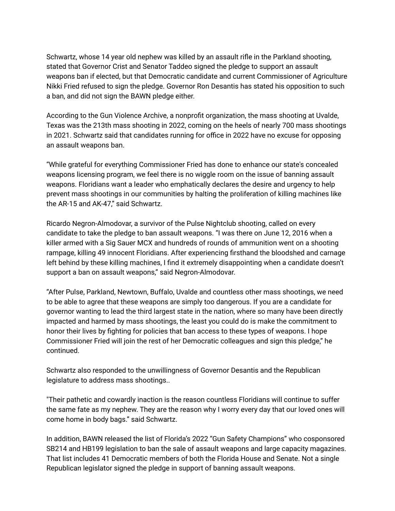Schwartz, whose 14 year old nephew was killed by an assault rifle in the Parkland shooting, stated that Governor Crist and Senator Taddeo signed the pledge to support an assault weapons ban if elected, but that Democratic candidate and current Commissioner of Agriculture Nikki Fried refused to sign the pledge. Governor Ron Desantis has stated his opposition to such a ban, and did not sign the BAWN pledge either.

According to the Gun Violence Archive, a nonprofit organization, the mass shooting at Uvalde, Texas was the 213th mass shooting in 2022, coming on the heels of nearly 700 mass shootings in 2021. Schwartz said that candidates running for office in 2022 have no excuse for opposing an assault weapons ban.

"While grateful for everything Commissioner Fried has done to enhance our state's concealed weapons licensing program, we feel there is no wiggle room on the issue of banning assault weapons. Floridians want a leader who emphatically declares the desire and urgency to help prevent mass shootings in our communities by halting the proliferation of killing machines like the AR-15 and AK-47," said Schwartz.

Ricardo Negron-Almodovar, a survivor of the Pulse Nightclub shooting, called on every candidate to take the pledge to ban assault weapons. "I was there on June 12, 2016 when a killer armed with a Sig Sauer MCX and hundreds of rounds of ammunition went on a shooting rampage, killing 49 innocent Floridians. After experiencing firsthand the bloodshed and carnage left behind by these killing machines, I find it extremely disappointing when a candidate doesn't support a ban on assault weapons," said Negron-Almodovar.

"After Pulse, Parkland, Newtown, Buffalo, Uvalde and countless other mass shootings, we need to be able to agree that these weapons are simply too dangerous. If you are a candidate for governor wanting to lead the third largest state in the nation, where so many have been directly impacted and harmed by mass shootings, the least you could do is make the commitment to honor their lives by fighting for policies that ban access to these types of weapons. I hope Commissioner Fried will join the rest of her Democratic colleagues and sign this pledge," he continued.

Schwartz also responded to the unwillingness of Governor Desantis and the Republican legislature to address mass shootings..

"Their pathetic and cowardly inaction is the reason countless Floridians will continue to suffer the same fate as my nephew. They are the reason why I worry every day that our loved ones will come home in body bags." said Schwartz.

In addition, BAWN released the list of Florida's 2022 "Gun Safety Champions" who cosponsored SB214 and HB199 legislation to ban the sale of assault weapons and large capacity magazines. That list includes 41 Democratic members of both the Florida House and Senate. Not a single Republican legislator signed the pledge in support of banning assault weapons.